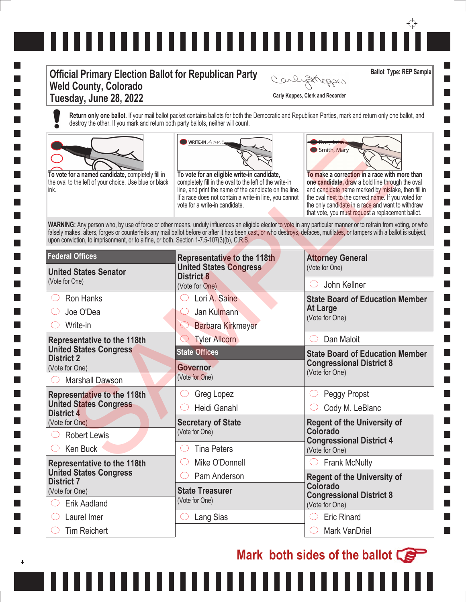## ,,,,,,,,,,,,,,,,,,,,,,,,,,,,,,

## **Official Primary Election Ballot for Republican Party Weld County, Colorado Tuesday, June 28, 2022 Carly Koppes, Clerk and Recorder**

**Ballot Type: REP Sample** Carlystroppes

l a

I.

**Return only one ballot.** If your mail ballot packet contains ballots for both the Democratic and Republican Parties, mark and return only one ballot, and destroy the other. If you mark and return both party ballots, neither will count.



,,,,,,,





**College I I I** ٦

| To vote for a named candidate, completely fill in<br>the oval to the left of your choice. Use blue or black<br>ink. | <b>WRITE-IN ANNE</b><br>To vote for an eligible write-in candidate,<br>completely fill in the oval to the left of the write-in<br>line, and print the name of the candidate on the line.<br>If a race does not contain a write-in line, you cannot<br>vote for a write-in candidate.                                                           | Smith, Mary<br>To make a correction in a race with more than<br>one candidate, draw a bold line through the oval<br>and candidate name marked by mistake, then fill in<br>the oval next to the correct name. If you voted for<br>the only candidate in a race and want to withdraw<br>that vote, you must request a replacement ballot. |  |
|---------------------------------------------------------------------------------------------------------------------|------------------------------------------------------------------------------------------------------------------------------------------------------------------------------------------------------------------------------------------------------------------------------------------------------------------------------------------------|-----------------------------------------------------------------------------------------------------------------------------------------------------------------------------------------------------------------------------------------------------------------------------------------------------------------------------------------|--|
| upon conviction, to imprisonment, or to a fine, or both. Section 1-7.5-107(3)(b), C.R.S.                            | WARNING: Any person who, by use of force or other means, unduly influences an eligible elector to vote in any particular manner or to refrain from voting, or who<br>falsely makes, alters, forges or counterfeits any mail ballot before or after it has been cast, or who destroys, defaces, mutilates, or tampers with a ballot is subject, |                                                                                                                                                                                                                                                                                                                                         |  |
| <b>Federal Offices</b>                                                                                              | <b>Representative to the 118th</b>                                                                                                                                                                                                                                                                                                             | <b>Attorney General</b>                                                                                                                                                                                                                                                                                                                 |  |
| <b>United States Senator</b>                                                                                        | <b>United States Congress</b><br><b>District 8</b>                                                                                                                                                                                                                                                                                             | (Vote for One)                                                                                                                                                                                                                                                                                                                          |  |
| (Vote for One)                                                                                                      | (Vote for One)                                                                                                                                                                                                                                                                                                                                 | John Kellner                                                                                                                                                                                                                                                                                                                            |  |
| <b>Ron Hanks</b>                                                                                                    | Lori A. Saine                                                                                                                                                                                                                                                                                                                                  | <b>State Board of Education Member</b>                                                                                                                                                                                                                                                                                                  |  |
| Joe O'Dea                                                                                                           | Jan Kulmann                                                                                                                                                                                                                                                                                                                                    | <b>At Large</b><br>(Vote for One)                                                                                                                                                                                                                                                                                                       |  |
| Write-in                                                                                                            | <b>Barbara Kirkmeyer</b>                                                                                                                                                                                                                                                                                                                       |                                                                                                                                                                                                                                                                                                                                         |  |
| <b>Representative to the 118th</b>                                                                                  | <b>Tyler Allcorn</b>                                                                                                                                                                                                                                                                                                                           | Dan Maloit<br>$(\ )$                                                                                                                                                                                                                                                                                                                    |  |
| <b>United States Congress</b><br><b>District 2</b>                                                                  | <b>State Offices</b>                                                                                                                                                                                                                                                                                                                           | <b>State Board of Education Member</b>                                                                                                                                                                                                                                                                                                  |  |
| (Vote for One)                                                                                                      | <b>Governor</b>                                                                                                                                                                                                                                                                                                                                | <b>Congressional District 8</b><br>(Vote for One)                                                                                                                                                                                                                                                                                       |  |
| <b>Marshall Dawson</b>                                                                                              | (Vote for One)                                                                                                                                                                                                                                                                                                                                 |                                                                                                                                                                                                                                                                                                                                         |  |
| <b>Representative to the 118th</b>                                                                                  | Greg Lopez                                                                                                                                                                                                                                                                                                                                     | Peggy Propst<br>C)                                                                                                                                                                                                                                                                                                                      |  |
| <b>United States Congress</b><br><b>District 4</b>                                                                  | Heidi Ganahl                                                                                                                                                                                                                                                                                                                                   | Cody M. LeBlanc                                                                                                                                                                                                                                                                                                                         |  |
| (Vote for One)                                                                                                      | <b>Secretary of State</b>                                                                                                                                                                                                                                                                                                                      | <b>Regent of the University of</b>                                                                                                                                                                                                                                                                                                      |  |
| <b>Robert Lewis</b>                                                                                                 | (Vote for One)                                                                                                                                                                                                                                                                                                                                 | Colorado<br><b>Congressional District 4</b>                                                                                                                                                                                                                                                                                             |  |
| Ken Buck                                                                                                            |                                                                                                                                                                                                                                                                                                                                                |                                                                                                                                                                                                                                                                                                                                         |  |
|                                                                                                                     | <b>Tina Peters</b>                                                                                                                                                                                                                                                                                                                             | (Vote for One)                                                                                                                                                                                                                                                                                                                          |  |
| <b>Representative to the 118th</b>                                                                                  | Mike O'Donnell                                                                                                                                                                                                                                                                                                                                 | <b>Frank McNulty</b>                                                                                                                                                                                                                                                                                                                    |  |
| <b>United States Congress</b>                                                                                       | Pam Anderson                                                                                                                                                                                                                                                                                                                                   | <b>Regent of the University of</b>                                                                                                                                                                                                                                                                                                      |  |
| <b>District 7</b><br>(Vote for One)                                                                                 | <b>State Treasurer</b>                                                                                                                                                                                                                                                                                                                         | Colorado                                                                                                                                                                                                                                                                                                                                |  |
| <b>Erik Aadland</b>                                                                                                 | (Vote for One)                                                                                                                                                                                                                                                                                                                                 | <b>Congressional District 8</b><br>(Vote for One)                                                                                                                                                                                                                                                                                       |  |
| Laurel Imer                                                                                                         | Lang Sias<br>. )                                                                                                                                                                                                                                                                                                                               | <b>Eric Rinard</b><br>$(\ )$                                                                                                                                                                                                                                                                                                            |  |

,,,,,,,

**Mark both sides of the ballot**